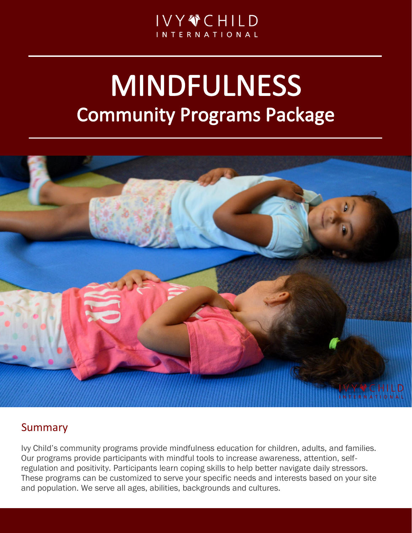# **MINDFULNESS Community Programs Package**



# Summary

Ivy Child's community programs provide mindfulness education for children, adults, and families. Our programs provide participants with mindful tools to increase awareness, attention, selfregulation and positivity. Participants learn coping skills to help better navigate daily stressors. These programs can be customized to serve your specific needs and interests based on your site and population. We serve all ages, abilities, backgrounds and cultures.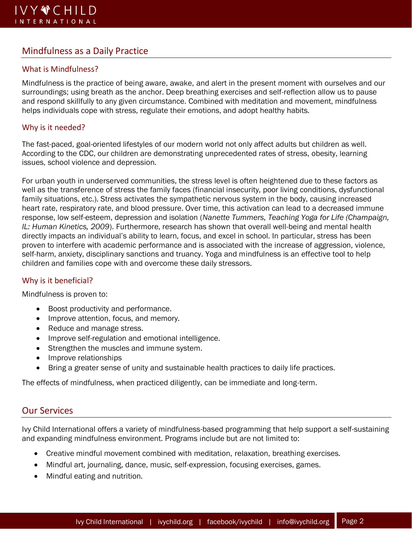### Mindfulness as a Daily Practice

#### What is Mindfulness?

Mindfulness is the practice of being aware, awake, and alert in the present moment with ourselves and our surroundings; using breath as the anchor. Deep breathing exercises and self-reflection allow us to pause and respond skillfully to any given circumstance. Combined with meditation and movement, mindfulness helps individuals cope with stress, regulate their emotions, and adopt healthy habits.

#### Why is it needed?

The fast-paced, goal-oriented lifestyles of our modern world not only affect adults but children as well. According to the CDC, our children are demonstrating unprecedented rates of stress, obesity, learning issues, school violence and depression.

For urban youth in underserved communities, the stress level is often heightened due to these factors as well as the transference of stress the family faces (financial insecurity, poor living conditions, dysfunctional family situations, etc.). Stress activates the sympathetic nervous system in the body, causing increased heart rate, respiratory rate, and blood pressure. Over time, this activation can lead to a decreased immune response, low self-esteem, depression and isolation (*Nanette Tummers, Teaching Yoga for Life (Champaign, IL: Human Kinetics, 2009*). Furthermore, research has shown that overall well-being and mental health directly impacts an individual's ability to learn, focus, and excel in school. In particular, stress has been proven to interfere with academic performance and is associated with the increase of aggression, violence, self-harm, anxiety, disciplinary sanctions and truancy. Yoga and mindfulness is an effective tool to help children and families cope with and overcome these daily stressors.

#### Why is it beneficial?

Mindfulness is proven to:

- Boost productivity and performance.
- Improve attention, focus, and memory.
- Reduce and manage stress.
- Improve self-regulation and emotional intelligence.
- Strengthen the muscles and immune system.
- Improve relationships
- Bring a greater sense of unity and sustainable health practices to daily life practices.

The effects of mindfulness, when practiced diligently, can be immediate and long-term.

#### Our Services

Ivy Child International offers a variety of mindfulness-based programming that help support a self-sustaining and expanding mindfulness environment. Programs include but are not limited to:

- Creative mindful movement combined with meditation, relaxation, breathing exercises.
- Mindful art, journaling, dance, music, self-expression, focusing exercises, games.
- Mindful eating and nutrition.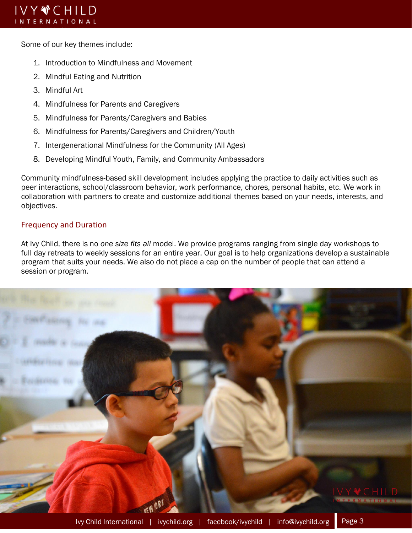Some of our key themes include:

- 1. Introduction to Mindfulness and Movement
- 2. Mindful Eating and Nutrition
- 3. Mindful Art
- 4. Mindfulness for Parents and Caregivers
- 5. Mindfulness for Parents/Caregivers and Babies
- 6. Mindfulness for Parents/Caregivers and Children/Youth
- 7. Intergenerational Mindfulness for the Community (All Ages)
- 8. Developing Mindful Youth, Family, and Community Ambassadors

Community mindfulness-based skill development includes applying the practice to daily activities such as peer interactions, school/classroom behavior, work performance, chores, personal habits, etc. We work in collaboration with partners to create and customize additional themes based on your needs, interests, and objectives.

#### Frequency and Duration

At Ivy Child, there is no *one size fits all* model. We provide programs ranging from single day workshops to full day retreats to weekly sessions for an entire year. Our goal is to help organizations develop a sustainable program that suits your needs. We also do not place a cap on the number of people that can attend a session or program.